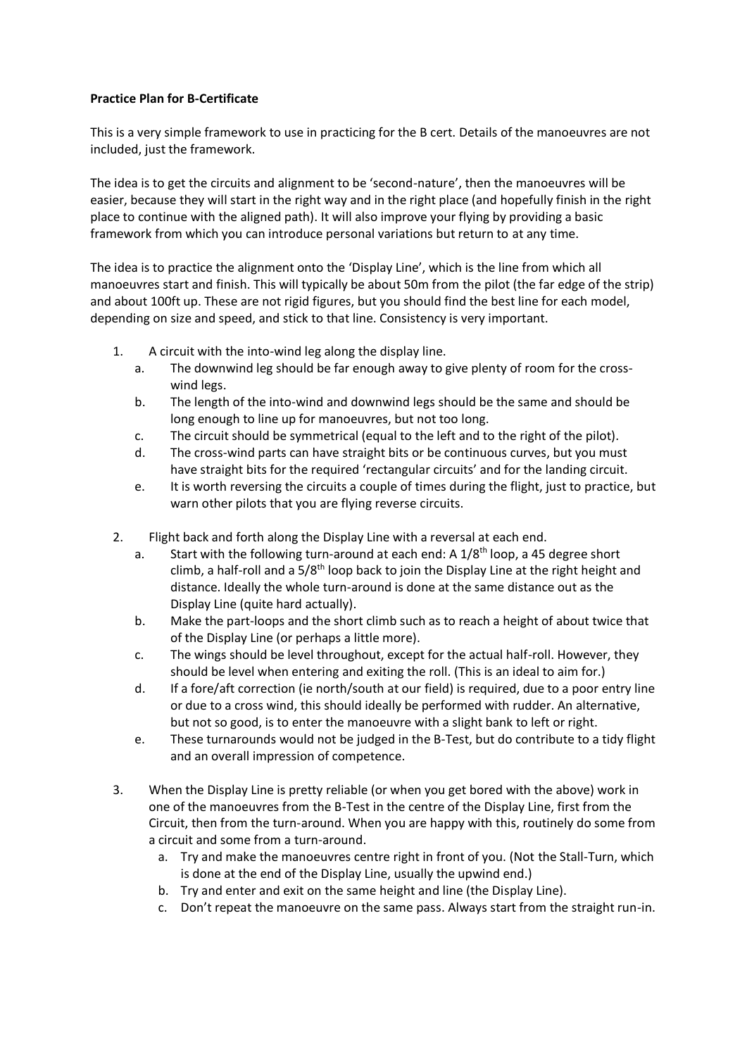## **Practice Plan for B-Certificate**

This is a very simple framework to use in practicing for the B cert. Details of the manoeuvres are not included, just the framework.

The idea is to get the circuits and alignment to be 'second-nature', then the manoeuvres will be easier, because they will start in the right way and in the right place (and hopefully finish in the right place to continue with the aligned path). It will also improve your flying by providing a basic framework from which you can introduce personal variations but return to at any time.

The idea is to practice the alignment onto the 'Display Line', which is the line from which all manoeuvres start and finish. This will typically be about 50m from the pilot (the far edge of the strip) and about 100ft up. These are not rigid figures, but you should find the best line for each model, depending on size and speed, and stick to that line. Consistency is very important.

- 1. A circuit with the into-wind leg along the display line.
	- a. The downwind leg should be far enough away to give plenty of room for the crosswind legs.
	- b. The length of the into-wind and downwind legs should be the same and should be long enough to line up for manoeuvres, but not too long.
	- c. The circuit should be symmetrical (equal to the left and to the right of the pilot).
	- d. The cross-wind parts can have straight bits or be continuous curves, but you must have straight bits for the required 'rectangular circuits' and for the landing circuit.
	- e. It is worth reversing the circuits a couple of times during the flight, just to practice, but warn other pilots that you are flying reverse circuits.
- 2. Flight back and forth along the Display Line with a reversal at each end.
	- a. Start with the following turn-around at each end: A  $1/8<sup>th</sup>$  loop, a 45 degree short climb, a half-roll and a  $5/8$ <sup>th</sup> loop back to join the Display Line at the right height and distance. Ideally the whole turn-around is done at the same distance out as the Display Line (quite hard actually).
	- b. Make the part-loops and the short climb such as to reach a height of about twice that of the Display Line (or perhaps a little more).
	- c. The wings should be level throughout, except for the actual half-roll. However, they should be level when entering and exiting the roll. (This is an ideal to aim for.)
	- d. If a fore/aft correction (ie north/south at our field) is required, due to a poor entry line or due to a cross wind, this should ideally be performed with rudder. An alternative, but not so good, is to enter the manoeuvre with a slight bank to left or right.
	- e. These turnarounds would not be judged in the B-Test, but do contribute to a tidy flight and an overall impression of competence.
- 3. When the Display Line is pretty reliable (or when you get bored with the above) work in one of the manoeuvres from the B-Test in the centre of the Display Line, first from the Circuit, then from the turn-around. When you are happy with this, routinely do some from a circuit and some from a turn-around.
	- a. Try and make the manoeuvres centre right in front of you. (Not the Stall-Turn, which is done at the end of the Display Line, usually the upwind end.)
	- b. Try and enter and exit on the same height and line (the Display Line).
	- c. Don't repeat the manoeuvre on the same pass. Always start from the straight run-in.